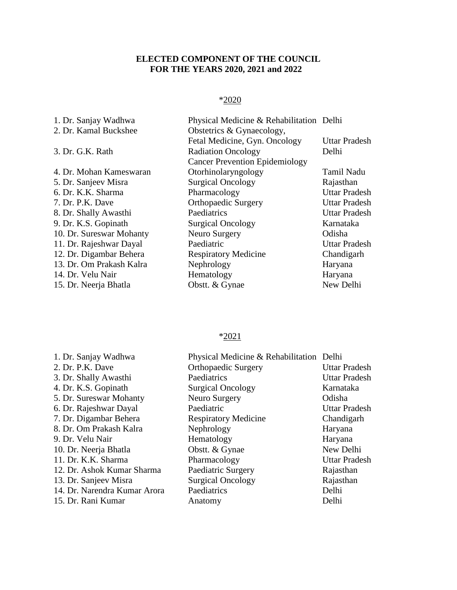## **ELECTED COMPONENT OF THE COUNCIL FOR THE YEARS 2020, 2021 and 2022**

## \*2020

| 1. Dr. Sanjay Wadhwa     | Physical Medicine & Rehabilitation Delhi |                      |
|--------------------------|------------------------------------------|----------------------|
| 2. Dr. Kamal Buckshee    | Obstetrics & Gynaecology,                |                      |
|                          | Fetal Medicine, Gyn. Oncology            | Uttar Pradesh        |
| 3. Dr. G.K. Rath         | <b>Radiation Oncology</b>                | Delhi                |
|                          | <b>Cancer Prevention Epidemiology</b>    |                      |
| 4. Dr. Mohan Kameswaran  | Otorhinolaryngology                      | Tamil Nadu           |
| 5. Dr. Sanjeev Misra     | <b>Surgical Oncology</b>                 | Rajasthan            |
| 6. Dr. K.K. Sharma       | Pharmacology                             | <b>Uttar Pradesh</b> |
| 7. Dr. P.K. Dave         | <b>Orthopaedic Surgery</b>               | <b>Uttar Pradesh</b> |
| 8. Dr. Shally Awasthi    | Paediatrics                              | <b>Uttar Pradesh</b> |
| 9. Dr. K.S. Gopinath     | <b>Surgical Oncology</b>                 | Karnataka            |
| 10. Dr. Sureswar Mohanty | Neuro Surgery                            | Odisha               |
| 11. Dr. Rajeshwar Dayal  | Paediatric                               | <b>Uttar Pradesh</b> |
| 12. Dr. Digambar Behera  | <b>Respiratory Medicine</b>              | Chandigarh           |
| 13. Dr. Om Prakash Kalra | Nephrology                               | Haryana              |
| 14. Dr. Velu Nair        | Hematology                               | Haryana              |
| 15. Dr. Neerja Bhatla    | Obstt. & Gynae                           | New Delhi            |
|                          |                                          |                      |

## \*2021

| 1. Dr. Sanjay Wadhwa         | Physical Medicine & Rehabilitation Delhi |                      |
|------------------------------|------------------------------------------|----------------------|
| 2. Dr. P.K. Dave             | <b>Orthopaedic Surgery</b>               | <b>Uttar Pradesh</b> |
| 3. Dr. Shally Awasthi        | Paediatrics                              | <b>Uttar Pradesh</b> |
| 4. Dr. K.S. Gopinath         | <b>Surgical Oncology</b>                 | Karnataka            |
| 5. Dr. Sureswar Mohanty      | Neuro Surgery                            | Odisha               |
| 6. Dr. Rajeshwar Dayal       | Paediatric                               | <b>Uttar Pradesh</b> |
| 7. Dr. Digambar Behera       | <b>Respiratory Medicine</b>              | Chandigarh           |
| 8. Dr. Om Prakash Kalra      | Nephrology                               | Haryana              |
| 9. Dr. Velu Nair             | Hematology                               | Haryana              |
| 10. Dr. Neerja Bhatla        | Obstt. & Gynae                           | New Delhi            |
| 11. Dr. K.K. Sharma          | Pharmacology                             | <b>Uttar Pradesh</b> |
| 12. Dr. Ashok Kumar Sharma   | Paediatric Surgery                       | Rajasthan            |
| 13. Dr. Sanjeev Misra        | <b>Surgical Oncology</b>                 | Rajasthan            |
| 14. Dr. Narendra Kumar Arora | Paediatrics                              | Delhi                |
| 15. Dr. Rani Kumar           | Anatomy                                  | Delhi                |
|                              |                                          |                      |